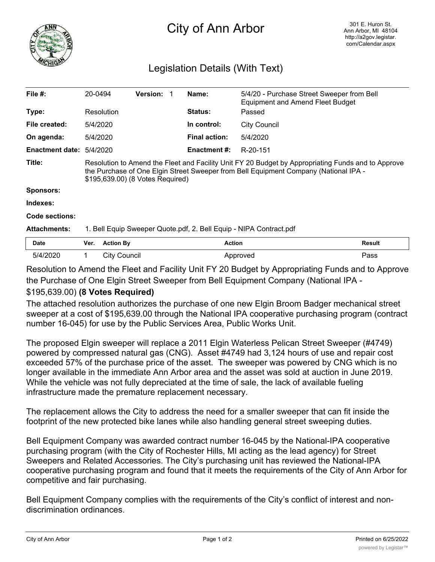

## City of Ann Arbor

## Legislation Details (With Text)

| File $#$ :             |                                                                                                                                                                                                                                |                  |                 |  |                      |                                                                                       |               |
|------------------------|--------------------------------------------------------------------------------------------------------------------------------------------------------------------------------------------------------------------------------|------------------|-----------------|--|----------------------|---------------------------------------------------------------------------------------|---------------|
|                        | 20-0494                                                                                                                                                                                                                        |                  | <b>Version:</b> |  | Name:                | 5/4/20 - Purchase Street Sweeper from Bell<br><b>Equipment and Amend Fleet Budget</b> |               |
| Type:                  |                                                                                                                                                                                                                                | Resolution       |                 |  | <b>Status:</b>       | Passed                                                                                |               |
| File created:          | 5/4/2020                                                                                                                                                                                                                       |                  |                 |  | In control:          | <b>City Council</b>                                                                   |               |
| On agenda:             | 5/4/2020                                                                                                                                                                                                                       |                  |                 |  | <b>Final action:</b> | 5/4/2020                                                                              |               |
| <b>Enactment date:</b> | 5/4/2020                                                                                                                                                                                                                       |                  |                 |  | Enactment #:         | R-20-151                                                                              |               |
| Title:                 | Resolution to Amend the Fleet and Facility Unit FY 20 Budget by Appropriating Funds and to Approve<br>the Purchase of One Elgin Street Sweeper from Bell Equipment Company (National IPA -<br>\$195,639.00) (8 Votes Required) |                  |                 |  |                      |                                                                                       |               |
| Sponsors:              |                                                                                                                                                                                                                                |                  |                 |  |                      |                                                                                       |               |
| Indexes:               |                                                                                                                                                                                                                                |                  |                 |  |                      |                                                                                       |               |
| Code sections:         |                                                                                                                                                                                                                                |                  |                 |  |                      |                                                                                       |               |
| <b>Attachments:</b>    | 1. Bell Equip Sweeper Quote.pdf, 2. Bell Equip - NIPA Contract.pdf                                                                                                                                                             |                  |                 |  |                      |                                                                                       |               |
|                        |                                                                                                                                                                                                                                |                  |                 |  |                      |                                                                                       |               |
| <b>Date</b>            | Ver.                                                                                                                                                                                                                           | <b>Action By</b> |                 |  | <b>Action</b>        |                                                                                       | <b>Result</b> |

Resolution to Amend the Fleet and Facility Unit FY 20 Budget by Appropriating Funds and to Approve the Purchase of One Elgin Street Sweeper from Bell Equipment Company (National IPA -

## \$195,639.00) **(8 Votes Required)**

The attached resolution authorizes the purchase of one new Elgin Broom Badger mechanical street sweeper at a cost of \$195,639.00 through the National IPA cooperative purchasing program (contract number 16-045) for use by the Public Services Area, Public Works Unit.

The proposed Elgin sweeper will replace a 2011 Elgin Waterless Pelican Street Sweeper (#4749) powered by compressed natural gas (CNG). Asset #4749 had 3,124 hours of use and repair cost exceeded 57% of the purchase price of the asset. The sweeper was powered by CNG which is no longer available in the immediate Ann Arbor area and the asset was sold at auction in June 2019. While the vehicle was not fully depreciated at the time of sale, the lack of available fueling infrastructure made the premature replacement necessary.

The replacement allows the City to address the need for a smaller sweeper that can fit inside the footprint of the new protected bike lanes while also handling general street sweeping duties.

Bell Equipment Company was awarded contract number 16-045 by the National-IPA cooperative purchasing program (with the City of Rochester Hills, MI acting as the lead agency) for Street Sweepers and Related Accessories. The City's purchasing unit has reviewed the National-IPA cooperative purchasing program and found that it meets the requirements of the City of Ann Arbor for competitive and fair purchasing.

Bell Equipment Company complies with the requirements of the City's conflict of interest and nondiscrimination ordinances.